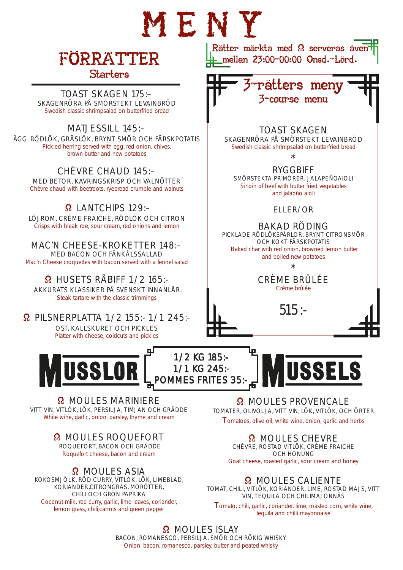# MENY

## FÖRRÄTTER Starters

TOAST SKAGEN 175:– SKAGENRÖRA PÅ SMÖRSTEKT LEVAINBRÖD Swedish classic shrimpsalad on butterfried bread

#### MATJESSILL 145:–

ÄGG. RÖDLÖK, GRÄSLÖK, BRYNT SMÖR OCH FÄRSKPOTATIS Pickled herring served with egg, red onion, chives, brown butter and new potatoes

CHÈVRE CHAUD 145:– MED BETOR, KAVRINGSKRISP OCH VALNÖTTER Chèvre chaud with beetroots, ryebread crumble and walnuts

#### Ω LANTCHIPS 129:–

LÖJROM, CRÈME FRAICHE, RÖDLÖK OCH CITRON Crisps with bleak roe, sour cream, red onions and lemon

MAC'N CHEESE-KROKETTER 148:– MED BACON OCH FÄNKÅLSSALLAD Mac'n Cheese croquettes with bacon served with a fennel salad

Ω HUSETS RÅBIFF 1/2 165:- AKKURATS KLASSIKER PÅ SVENSKT INNANLÅR. Steak tartare with the classic trimmings

Ω PILSNERPLATTA 1/2 155:- 1/1 245:-

OST, KALLSKURET OCH PICKLES Platter with cheese, coldcuts and pickles



Ω MOULES MARINIERE VITT VIN, VITLÖK, LÖK, PERSILJA, TIMJAN OCH GRÄDDE White wine, garlic, onion, parsley, thyme and cream

#### Ω MOULES ROQUEFORT

ROQUEFORT, BACON OCH GRÄDDE Roquefort cheese, bacon and cream

Ω MOULES ASIA

KOKOSMJÖLK, RÖD CURRY, VITLÖK, LÖK, LIMEBLAD, KORIANDER,CITRONGRÄS, MORÖTTER, CHILI OCH GRÖN PAPRIKA Coconut milk, red curry, garlic, lime leaves, coriander, lemon grass, chili,carrots and green pepper

Rätter märkta med Ω serveras även mellan 23:00-00:00 Onsd.-Lörd.



#### TOAST SKAGEN

SKAGENRÖRA PÅ SMÖRSTEKT LEVAINBRÖD Swedish classic shrimpsalad on butterfried bread

\*

RYGGBIFF SMÖRSTEKTA PRIMÖRER, JALAPEÑOAIOLI Sirloin of beef with butter fried vegetables and jalapño aioli

#### ELLER/OR

BAKAD RÖDING PICKLADE RÖDLÖKSPÄRLOR, BRYNT CITRONSMÖR

OCH KOKT FÄRSKPOTATIS Baked char with red onion, browned lemon butter and boiled new potatoes

\*

#### CRÈME BRÛLÉE Crème brûlée





Ω MOULES PROVENCALE TOMATER, OLIVOLJA, VITT VIN, LÖK, VITLÖK, OCH ÖRTER Tomatoes, olive oil, white wine, onion, garlic and herbs

#### Ω MOULES CHEVRE

CHÉVRE, ROSTAD VITLÖK, CRÈME FRAICHE OCH HONUNG Goat cheese, roasted garlic, sour cream and honey

#### Ω MOULES CALIENTE

TOMAT, CHILI, VITLÖK, KORIANDER, LIME, ROSTAD MAJS, VITT VIN, TEQUILA OCH CHILIMAJONNÄS

Tomato, chili, garlic, coriander, lime, roasted corn, white wine, tequila and chilli mayonnaise

#### Ω MOULES ISLAY

1/2 KG 185:- 1/1 KG 245:- POMMES FRITES 35:

BACON, ROMANESCO, PERSILJA, SMÖR OCH RÖKIG WHISKY Onion, bacon, romanesco, parsley, butter and peated whisky